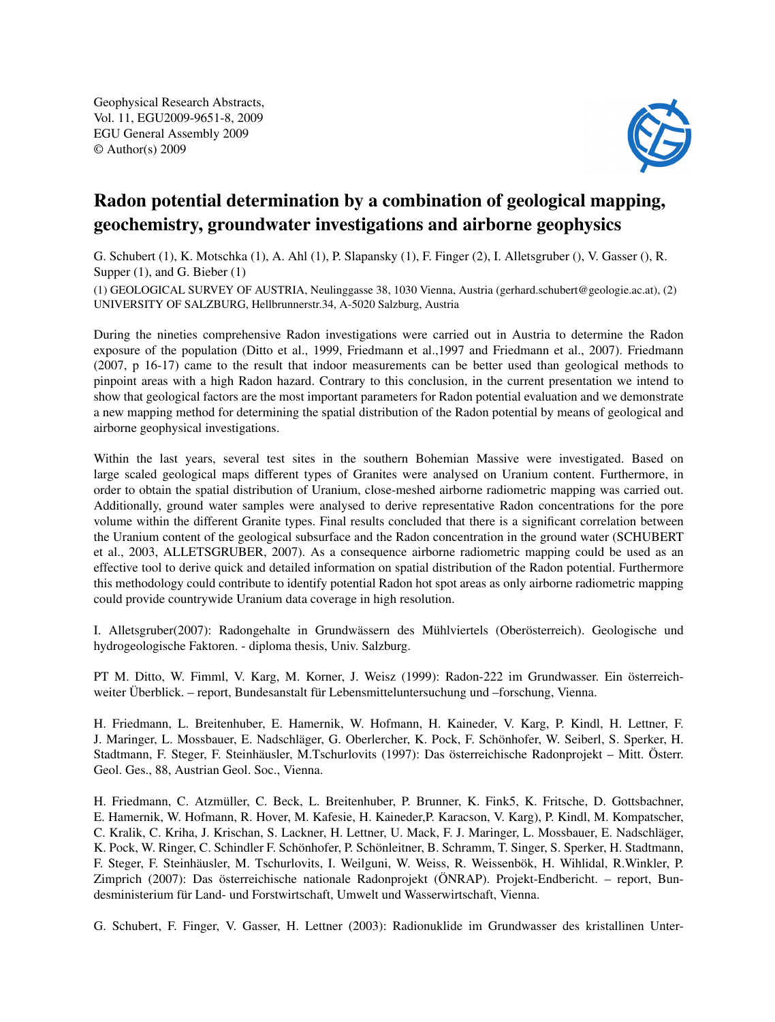Geophysical Research Abstracts, Vol. 11, EGU2009-9651-8, 2009 EGU General Assembly 2009 © Author(s) 2009



## Radon potential determination by a combination of geological mapping, geochemistry, groundwater investigations and airborne geophysics

G. Schubert (1), K. Motschka (1), A. Ahl (1), P. Slapansky (1), F. Finger (2), I. Alletsgruber (), V. Gasser (), R. Supper  $(1)$ , and G. Bieber  $(1)$ 

(1) GEOLOGICAL SURVEY OF AUSTRIA, Neulinggasse 38, 1030 Vienna, Austria (gerhard.schubert@geologie.ac.at), (2) UNIVERSITY OF SALZBURG, Hellbrunnerstr.34, A-5020 Salzburg, Austria

During the nineties comprehensive Radon investigations were carried out in Austria to determine the Radon exposure of the population (Ditto et al., 1999, Friedmann et al.,1997 and Friedmann et al., 2007). Friedmann (2007, p 16-17) came to the result that indoor measurements can be better used than geological methods to pinpoint areas with a high Radon hazard. Contrary to this conclusion, in the current presentation we intend to show that geological factors are the most important parameters for Radon potential evaluation and we demonstrate a new mapping method for determining the spatial distribution of the Radon potential by means of geological and airborne geophysical investigations.

Within the last years, several test sites in the southern Bohemian Massive were investigated. Based on large scaled geological maps different types of Granites were analysed on Uranium content. Furthermore, in order to obtain the spatial distribution of Uranium, close-meshed airborne radiometric mapping was carried out. Additionally, ground water samples were analysed to derive representative Radon concentrations for the pore volume within the different Granite types. Final results concluded that there is a significant correlation between the Uranium content of the geological subsurface and the Radon concentration in the ground water (SCHUBERT et al., 2003, ALLETSGRUBER, 2007). As a consequence airborne radiometric mapping could be used as an effective tool to derive quick and detailed information on spatial distribution of the Radon potential. Furthermore this methodology could contribute to identify potential Radon hot spot areas as only airborne radiometric mapping could provide countrywide Uranium data coverage in high resolution.

I. Alletsgruber(2007): Radongehalte in Grundwässern des Mühlviertels (Oberösterreich). Geologische und hydrogeologische Faktoren. - diploma thesis, Univ. Salzburg.

PT M. Ditto, W. Fimml, V. Karg, M. Korner, J. Weisz (1999): Radon-222 im Grundwasser. Ein österreichweiter Überblick. – report, Bundesanstalt für Lebensmitteluntersuchung und –forschung, Vienna.

H. Friedmann, L. Breitenhuber, E. Hamernik, W. Hofmann, H. Kaineder, V. Karg, P. Kindl, H. Lettner, F. J. Maringer, L. Mossbauer, E. Nadschläger, G. Oberlercher, K. Pock, F. Schönhofer, W. Seiberl, S. Sperker, H. Stadtmann, F. Steger, F. Steinhäusler, M.Tschurlovits (1997): Das österreichische Radonprojekt – Mitt. Österr. Geol. Ges., 88, Austrian Geol. Soc., Vienna.

H. Friedmann, C. Atzmüller, C. Beck, L. Breitenhuber, P. Brunner, K. Fink5, K. Fritsche, D. Gottsbachner, E. Hamernik, W. Hofmann, R. Hover, M. Kafesie, H. Kaineder,P. Karacson, V. Karg), P. Kindl, M. Kompatscher, C. Kralik, C. Kriha, J. Krischan, S. Lackner, H. Lettner, U. Mack, F. J. Maringer, L. Mossbauer, E. Nadschläger, K. Pock, W. Ringer, C. Schindler F. Schönhofer, P. Schönleitner, B. Schramm, T. Singer, S. Sperker, H. Stadtmann, F. Steger, F. Steinhäusler, M. Tschurlovits, I. Weilguni, W. Weiss, R. Weissenbök, H. Wihlidal, R.Winkler, P. Zimprich (2007): Das österreichische nationale Radonprojekt (ÖNRAP). Projekt-Endbericht. – report, Bundesministerium für Land- und Forstwirtschaft, Umwelt und Wasserwirtschaft, Vienna.

G. Schubert, F. Finger, V. Gasser, H. Lettner (2003): Radionuklide im Grundwasser des kristallinen Unter-